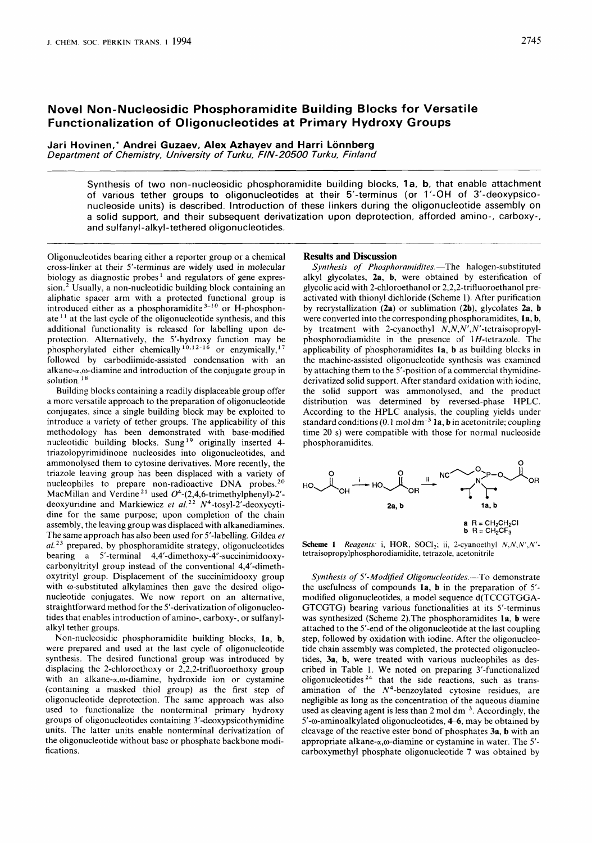# **Novel Non-Nucleosidic Phosphoramidite Building Blocks for Versatile Functionalization of Oligonucleotides at Primary Hydroxy Groups**

Jari Hovinen,\* Andrei Guzaev, Alex Azhayev and Harri Lönnberg *Department of Chemistry, University of Turku, FIN- 20500 Turku, Finland* 

> Synthesis of two non-nucleosidic phosphoramidite building blocks, 1a, b, that enable attachment of various tether groups to oligonucleotides at their 5'-terminus (or 1'-OH of 3'-deoxypsiconucleoside units) is described. Introduction of these linkers during the oligonucleotide assembly on a solid support, and their subsequent derivatization upon deprotection, afforded amino-, carboxy-, and sulfanyl-alkyl-tethered oligonucleotides.

Oligonucleotides bearing either a reporter group or a chemical cross-linker at their 5'-terminus are widely used in molecular biology as diagnostic probes<sup>1</sup> and regulators of gene expression.<sup>2</sup> Usually, a non-nucleotidic building block containing an aliphatic spacer arm with a protected functional group is introduced either as a phosphoramidite **3-10** or H-phosphonate  $11$  at the last cycle of the oligonucleotide synthesis, and this additional functionality is released for labelling upon deprotection. Alternatively, the 5'-hydroxy function may be phosphorylated either chemically <sup>10,12-16</sup> or enzymically, <sup>17</sup> followed by carbodiimide-assisted condensation with an alkane- $\alpha$ , $\omega$ -diamine and introduction of the conjugate group in solution.<sup>18</sup>

Building blocks containing a readily displaceable group offer a more versatile approach to the preparation of oligonucleotide conjugates, since a single building block may be exploited to introduce a variety of tether groups. The applicability of this methodology has been demonstrated with base-modified nucleotidic building blocks. Sung<sup>19</sup> originally inserted 4triazolopyrimidinone nucleosides into oligonucleotides, and ammonolysed them to cytosine derivatives. More recently, the triazole leaving group has been displaced with a variety of nucleophiles to prepare non-radioactive DNA probes. **2o**  MacMillan and Verdine **21** used **04-(2,4,6-trimethylphenyl)-2'**  deoxyuridine and Markiewicz *et al. 22* N4-tosyl-2'-deoxycytidine for the same purpose; upon completion of the chain assembly, the leaving group was displaced with alkanediamines. The same approach has also been used for 5'-labelling. Gildea *et af. 23* prepared, by phosphoramidite strategy, oligonucleotides bearing a 5'-terminal **4,4'-dimethoxy-4"-succinimidooxy**carbonyltrityl group instead of the conventional 4,4'-dimethoxytrityl group. Displacement of the succinimidooxy group with  $\omega$ -substituted alkylamines then gave the desired oligonucleotide conjugates. We now report on an alternative, straightforward method for the 5'-derivatization of oligonucleotides that enables introduction of amino-, carboxy-, or sulfanylalkyl tether groups.

Non-nucleosidic phosphoramidite building blocks, **la,** b, were prepared and used at the last cycle of oligonucleotide synthesis. The desired functional group was introduced by displacing the 2-chloroethoxy or 2,2,2-trifluoroethoxy group with an alkane- $\alpha$ , $\omega$ -diamine, hydroxide ion or cystamine (containing a masked thiol group) as the first step of oligonucleotide deprotection. The same approach was also used to functionalize the nonterminal primary hydroxy groups of oligonucleotides containing 3'-deoxypsicothymidine units. The latter units enable nonterminal derivatization of the oligonucleotide without base or phosphate backbone modifications.

### **Results and Discussion**

*Synthesis of Phosphoramidites.* The halogen-substituted alkyl glycolates, **2a,** b, were obtained by esterification of glycolic acid with 2-chloroethanol or 2,2,2-trifluoroethanol preactivated with thionyl dichloride (Scheme 1). After purification by recrystallization **(2a)** or sublimation (2b), glycolates **2a,** b were converted into the corresponding phosphoramidites, **la, b,**  by treatment with 2-cyanoethyl **N,N,N',N'-tetraisopropyl**phosphorodiamidite in the presence of  $1H$ -tetrazole. The applicability of phosphoramidites **la,** b as building blocks in the machine-assisted oligonucleotide synthesis was examined by attaching them to the 5'-position of a commercial thymidinederivatized solid support. After standard oxidation with iodine, the solid support was ammonolysed, and the product distribution was determined by reversed-phase HPLC. According to the HPLC analysis, the coupling yields under standard conditions (0.1 mol dm-3 **la,** bin acetonitrile; coupling time 20 **s)** were compatible with those for normal nucleoside phosphoramidites.



**Scheme 1** *Reagents:* i, HOR, SOCl<sub>2</sub>; ii, 2-cyanoethyl *N,N,N',N'***tetraisopropylphosphorodiamidite,** tetrazole, acetonitrile

*Synthesis of 5'-Modified Oligonucleotides.* -- To demonstrate the usefulness of compounds **la,** b in the preparation of *5'*  modified oligonucleotides, a model sequence d(TCCGTGGA-GTCGTG) bearing various functionalities at its 5'-terminus was synthesized (Scheme 2).The phosphoramidites **la,** b were attached to the 5'-end of the oligonucleotide at the last coupling step, followed by oxidation with iodine. After the oligonucleotide chain assembly was completed, the protected oligonucleotides, **3a,** b, were treated with various nucleophiles as described in Table 1. We noted on preparing 3'-functionalized oligonucleotides **24** that the side reactions, such as transamination of the  $N<sup>4</sup>$ -benzoylated cytosine residues, are negligible as long as the concentration of the aqueous diamine used as cleaving agent is less than  $2 \text{ mol } dm^{-3}$ . Accordingly, the 5'-o-aminoalkylated oligonucleotides, *4-6,* may be obtained by cleavage of the reactive ester bond of phosphates **3a, b** with an appropriate alkane- $\alpha$ , $\omega$ -diamine or cystamine in water. The 5'carboxymethyl phosphate oligonucleotide **7** was obtained by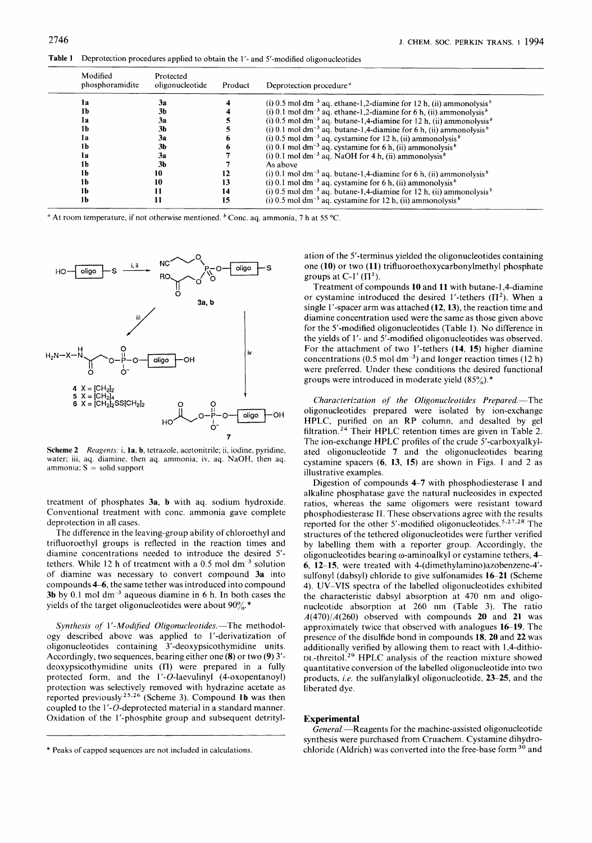Table 1 Deprotection procedures applied to obtain the 1'- and 5'-modified oligonucleotides

| Modified<br>phosphoramidite | Protected<br>oligonucleotide | Product | Deprotection procedure <sup>a</sup>                                                         |
|-----------------------------|------------------------------|---------|---------------------------------------------------------------------------------------------|
| la                          | За                           |         | (i) 0.5 mol dm <sup>-3</sup> aq. ethane-1,2-diamine for 12 h, (ii) ammonolysis <sup>b</sup> |
| 1b                          | 3b                           |         | (i) 0.1 mol dm <sup>-3</sup> aq. ethane-1,2-diamine for 6 h, (ii) ammonolysis <sup>b</sup>  |
| la                          | 3a                           |         | (i) 0.5 mol dm <sup>-3</sup> aq. butane-1.4-diamine for 12 h, (ii) ammonolysis <sup>b</sup> |
| 1b.                         | 3b                           |         | (i) 0.1 mol dm <sup>-3</sup> aq. butane-1,4-diamine for 6 h, (ii) ammonolysis <sup>b</sup>  |
| l a                         | 3a                           |         | (i) 0.5 mol dm <sup>-3</sup> aq. cystamine for 12 h, (ii) ammonolysis <sup>b</sup>          |
|                             | 3b                           |         | (i) 0.1 mol dm <sup>-3</sup> aq. cystamine for 6 h, (ii) ammonolysis <sup>b</sup>           |
| lа                          | За                           |         | (i) 0.1 mol dm <sup>-3</sup> aq. NaOH for 4 h, (ii) ammonolysis <sup>b</sup>                |
| 1b                          | 3b                           |         | As above                                                                                    |
| 1b                          | 10                           | 12      | (i) 0.1 mol dm <sup>-3</sup> aq. butane-1,4-diamine for 6 h, (ii) ammonolysis <sup>b</sup>  |
| 1b                          | 10                           | 13      | (i) 0.1 mol dm <sup>-3</sup> aq. cystamine for 6 h, (ii) ammonolysis <sup>b</sup>           |
| 1b                          | 11                           | 14      | (i) 0.5 mol dm <sup>-3</sup> aq. butane-1,4-diamine for 12 h, (ii) ammonolysis <sup>b</sup> |
| 1b                          | 11                           | 15      | (i) 0.5 mol dm <sup>-3</sup> aq. cystamine for 12 h, (ii) ammonolysis <sup>b</sup>          |

<sup>a</sup> At room temperature, if not otherwise mentioned. <sup>b</sup> Conc. aq. ammonia, 7 h at 55 °C.



**Scheme 2** *Reugents:* i, **la, b,** tetrazole, acetonitrile; ii, iodine, pyridine, water; iii, aq. diamine, then aq. ammonia; iv, aq. NaOH, then aq. ammonia; **S** = solid support

treatment of phosphates **3a, b** with aq. sodium hydroxide. Conventional treatment with conc. ammonia gave complete deprotection in all cases.

The difference in the leaving-group ability of chloroethyl and trifluoroethyl groups is reflected in the reaction times and diamine concentrations needed to introduce the desired *5'*  tethers. While 12 h of treatment with a  $0.5$  mol dm<sup>-3</sup> solution of diamine was necessary to convert compound **3a** into compounds **46,** the same tether was introduced into compound **3b** by 0.1 mol dm<sup>-3</sup> aqueous diamine in 6 h. In both cases the yields of the target oligonucleotides were about  $90\%$ .

Synthesis of 1'-Modified Oligonucleotides.-The methodology described above was applied to 1'-derivatization of oligonucleotides containing 3'-deoxypsicothymidine units. Accordingly, two sequences, bearing either one **(8)** or two **(9) 3'**  deoxypsicothymidine units (II) were prepared in a fully protected form, and the  $1'-O$ -laevulinyl (4-oxopentanoyl) protection was selectively removed with hydrazine acetate as reported previously <sup>25,26</sup> (Scheme 3). Compound 1b was then coupled to the 1'-0-deprotected material in a standard manner. Oxidation of the 1'-phosphite group and subsequent detritylation of the 5'-terminus yielded the oligonucleotides containing one **(10)** or two **(1 1)** trifluoroethoxycarbonylmethyl phosphate groups at C-1'  $(\Pi^1)$ .

Treatment of compounds **10** and **11** with butane-l,4-diamine or cystamine introduced the desired 1'-tethers  $(\Pi^2)$ . When a single 1'-spacer arm was attached **(12,13),** the reaction time and diamine concentration used were the same as those given above for the 5'-modified oligonucleotides (Table 1). No difference in the yields of 1'- and 5'-modified oligonucleotides was observed. For the attachment of two 1'-tethers **(14, 15)** higher diamine concentrations (0.5 mol dm<sup>-3</sup>) and longer reaction times (12 h) were preferred. Under these conditions the desired functional groups were introduced in moderate yield *(85%).\** 

Characterization of the Oligonucleotides Prepared.-The oligonucleotides prepared were isolated by ion-exchange HPLC, purified on an RP column, and desalted by gel filtration.<sup>24</sup> Their HPLC retention times are given in Table 2. The ion-exchange HPLC profiles of the crude 5'-carboxyalkylated oligonucleotide **7** and the oligonucleotides bearing cystamine spacers **(6, 13, 15)** are shown in Figs. 1 and 2 as illustrative examples.

Digestion of compounds **4-7** with phosphodiesterase I and alkaline phosphatase gave the natural nucleosides in expected ratios, whereas the same oligomers were resistant toward phosphodiesterase **IT.** These observations agree with the results reported for the other 5'-modified oligonucleotides. **5,27\*28** The structures of the tethered oligonucleotides were further verified by labelling them with a reporter group. Accordingly, the oligonucleotides bearing o-aminoalkyl or cystamine tethers, **4 6, 12-15,** were treated with 4-(dimethylamino)azobenzene-4' sulfonyl (dabsyl) chloride to give sulfonamides **1621** (Scheme 4). UV-VIS spectra of the labelled oligonucleotides exhibited the characteristic dabsyl absorption at 470 nm and oligonucleotide absorption at 260 nm (Table 3). The ratio A(470)/A(260) observed with compounds **20** and **21** was approximately twice that observed with analogues **16-19.** The presence of the disulfide bond in compounds **18,20** and **22** was additionally verified by allowing them to react with 1,4-dithio- DL-threitol.<sup>29</sup> HPLC analysis of the reaction mixture showed quantitative conversion of the labelled oligonucleotide into two products, *i.e.* the sulfanylalkyl oligonucleotide, 23–25, and the liberated dye.

## **Experimental**

General.-Reagents for the machine-assisted oligonucleotide synthesis were purchased from Cruachem. Cystamine dihydrochloride (Aldrich) was converted into the free-base form **30** and

<sup>\*</sup> Peaks of capped sequences are not included in calculations.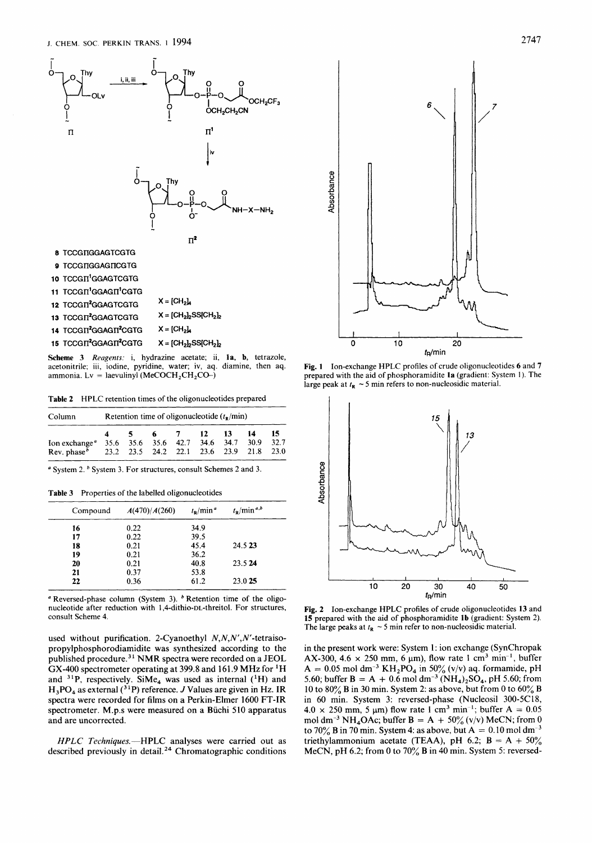

11 TCCGΠ<sup>1</sup>GGAGΠ<sup>1</sup>CGTG **12 TCCGTI<sup>2</sup>GGAGTCGTG**  $X = [CH_2]_4$ <br>**13 TCCGTI<sup>2</sup>GGAGTCGTG**  $X = [CH_2]_2$ **SS[CH**<sub>2</sub>]2 **13 TCCGIT<sup>2</sup>GGAGTCGTG**  $14$   $TCCGIT<sup>2</sup>GGAGIT<sup>2</sup>CGTG$   $X = [CH<sub>2</sub>]<sub>A</sub>$ 15 TCCGΠ<sup>2</sup>GGAGΠ<sup>2</sup>CGTG X = **[CH<sub>2</sub>]<sub>2</sub>SS[CH<sub>2</sub>]<sub>2</sub>** 

**Scheme 3** *Reugents:* i, hydrazine acetate; ii, **la, b,** tetrazole, acetonitrile; iii, iodine, pyridine, water; iv, aq. diamine, then aq. ammonia. Lv = laevulinyl (MeCOCH<sub>2</sub>CH<sub>2</sub>CO-)

**Table 2** HPLC retention times of the oligonucleotides prepared

| Column                                                                              | Retention time of oligonucleotide $(tn/min)$ |  |  |                                         |  |               |             |             |  |
|-------------------------------------------------------------------------------------|----------------------------------------------|--|--|-----------------------------------------|--|---------------|-------------|-------------|--|
| Ion exchange <sup>a</sup><br>Rev. phase $b$ 23.2 23.5 24.2 22.1 23.6 23.9 21.8 23.0 | $\sim$ 5                                     |  |  | 6 7 12<br>35.6 35.6 35.6 42.7 34.6 34.7 |  | $\mathbf{13}$ | -14<br>30.9 | -15<br>32.7 |  |

 $\degree$  System 2.  $\degree$  System 3. For structures, consult Schemes 2 and 3.

**Table** 3 Properties of the labelled oligonucleotides

~~~~ ~

| Compound | A(470)/A(260) | $t_{\rm P}$ /min <sup>a</sup> | $t_{\rm R}$ /min <sup>a,b</sup> |
|----------|---------------|-------------------------------|---------------------------------|
| 16       | 0.22          | 34.9                          |                                 |
| 17       | 0.22          | 39.5                          |                                 |
| 18       | 0.21          | 45.4                          | 24.5 23                         |
| 19       | 0.21          | 36.2                          |                                 |
| 20       | 0.21          | 40.8                          | 23.5 24                         |
| 21       | 0.37          | 53.8                          |                                 |
| 22       | 0.36          | 61.2                          | 23.0 25                         |

 $\alpha$  Reversed-phase column (System 3).  $\beta$  Retention time of the oligonucleotide after reduction with 1,4-dithio-DL-threitol. For structures, consult Scheme 4.

used without purification. 2-Cyanoethyl  $N, N, N', N'$ -tetraisopropylphosphorodiamidite was synthesized according to the published procedure.<sup>31</sup> NMR spectra were recorded on a JEOL **GX-400** spectrometer operating at 399.8 and 161.9 MHz for 'H and <sup>31</sup>P, respectively. SiMe<sub>4</sub> was used as internal (<sup>1</sup>H) and H3P0, as external **(3** 'P) reference. *J* Values are given in **Hz.** IR spectra were recorded for films on a Perkin-Elmer 1600 FT-IR spectrometer. M.p.s were measured on a Büchi 510 apparatus and are uncorrected.

*HPLC Techniques.* -- HPLC analyses were carried out as described previously in detail. **24** Chromatographic conditions



**Fig. 1** Ion-exchange HPLC profiles of crude oligonucleotides *6* and **7**  prepared with the aid of phosphoramidite **la** (gradient: System 1). The large peak at  $t_{\rm R} \sim 5$  min refers to non-nucleosidic material.



**Fig. 2** Ion-exchange HPLC profiles of crude oligonucleotides **13** and **15** prepared with the aid of phosphoramidite **lb** (gradient: System 2). The large peaks at  $t_R \sim 5$  min refer to non-nucleosidic material.

in the present work were: System 1: ion exchange (SynChropak AX-300,  $4.6 \times 250$  mm,  $6 \mu m$ ), flow rate 1 cm<sup>3</sup> min<sup>-1</sup>, buffer  $A = 0.05$  mol dm<sup>-3</sup> KH<sub>2</sub>PO<sub>4</sub> in 50% (v/v) aq. formamide, pH 5.60; buffer **B** = A + 0.6 mol dm<sup>-3</sup> (NH<sub>4</sub>)<sub>2</sub>SO<sub>4</sub>, pH 5.60; from 10 to **80%** B in **30** min. System 2: as above, but from 0 to 60% **B**  in 60 min. System **3:** reversed-phase (Nucleosil 300-5C18,  $4.0 \times 250$  mm, 5  $\mu$ m) flow rate 1 cm<sup>3</sup> min<sup>-1</sup>; buffer A = 0.05 mol dm<sup>-3</sup> NH<sub>4</sub>OAc; buffer B = A + 50% (v/v) MeCN; from 0 to  $70\%$  B in 70 min. System 4: as above, but  $A = 0.10$  mol dm<sup>-3</sup> triethylammonium acetate (TEAA), pH 6.2;  $B = A + 50\%$ MeCN, pH 6.2; from 0 to 70% B in 40 min. System 5: reversed-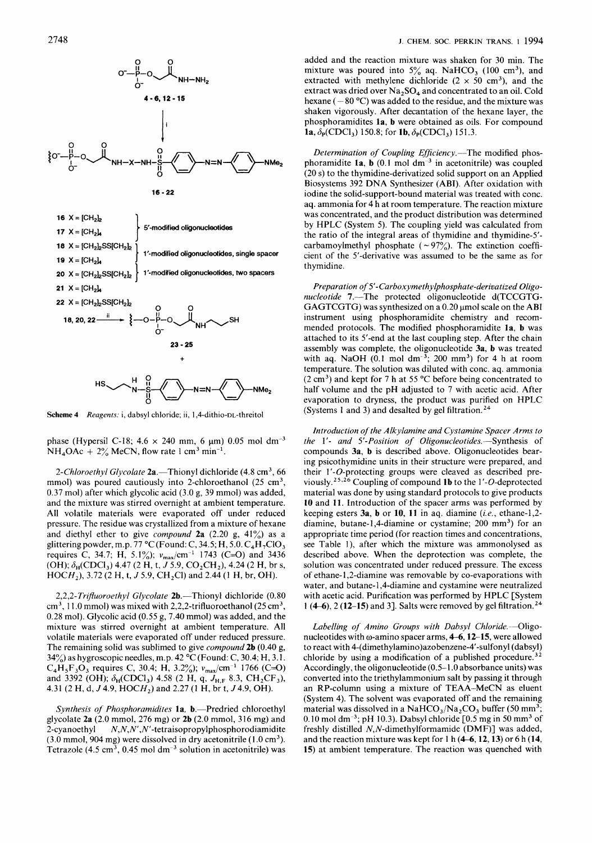

Scheme 4 Reagents: i, dabsyl chloride; ii, 1,4-dithio-DL-threitol

phase (Hypersil C-18;  $4.6 \times 240$  mm, 6  $\mu$ m) 0.05 mol dm<sup>-3</sup>  $NH<sub>4</sub>OAc + 2%$  MeCN, flow rate 1 cm<sup>3</sup> min<sup>-1</sup>.

2-Chloroethyl Glycolate  $2a$ . Thionyl dichloride (4.8 cm<sup>3</sup>, 66 mmol) was poured cautiously into 2-chloroethanol  $(25 \text{ cm}^3,$ 0.37 mol) after which glycolic acid (3.0 g, 39 mmol) was added, and the mixture was stirred overnight at ambient temperature. All volatile materials were evaporated off under reduced pressure. The residue was crystallized from a mixture of hexane and diethyl ether to give *compound* 2a  $(2.20 \text{ g}, 41\%)$  as a glittering powder, m.p.  $77 \text{ °C}$  (Found: C, 34.5; H, 5.0.  $C_4H_7ClO_3$ requires C, 34.7; H, 5.1%);  $v_{\text{max}}/\text{cm}^{-1}$  1743 (C=O) and 3436 (OH);  $\delta_H(CDCI_3)$  4.47 (2 H, t, *J* 5.9, CO<sub>2</sub>CH<sub>2</sub>), 4.24 (2 H, br s, HOCH<sub>2</sub>), 3.72 (2 H, t, *J* 5.9, CH<sub>2</sub>Cl) and 2.44 (1 H, br, OH).

2,2,2-Trifluoroethyl Glycolate 2b.-Thionyl dichloride (0.80  $cm<sup>3</sup>$ , 11.0 mmol) was mixed with 2,2,2-trifluoroethanol (25 cm<sup>3</sup>, 0.28 mol). Glycolic acid  $(0.55 g, 7.40 mmol)$  was added, and the mixture was stirred overnight at ambient temperature. All volatile materials were evaporated off under reduced pressure. The remaining solid was sublimed to give *compound* 2b  $(0.40 g,$ 34%) as hygroscopic needles, m.p. 42 "C (Found: C, 30.4; H, 3.1.  $C_4H_5F_3O_3$  requires C, 30.4; H, 3.2%);  $v_{\text{max}}/cm^{-1}$  1766 (C=O) and 3392 (OH);  $\delta_H(CDCl_3)$  4.58 (2 H, q,  $J_{H,F}$  8.3,  $CH_2CF_3$ ), 4.31 (2 H, d,  $J$  4.9,  $HOCH_2$ ) and 2.27 (1 H, br t,  $J$  4.9, OH).

Synthesis of Phosphoramidites la, b.-Predried chloroethyl glycolate 2a (2.0 mmol, 276 mg) or 2b (2.0 mmol, 316 mg) and 2-cyanoethyl **N,N,N',N'-tetraisopropylphosphorodiamidite (3.0** mmol, 904 mg) were dissolved in dry acetonitrile **(1** .O cm3). Tetrazole (4.5 cm<sup>3</sup>, 0.45 mol dm<sup>-3</sup> solution in acetonitrile) was

added and the reaction mixture was shaken for 30 min. The mixture was poured into  $5\%$  aq. NaHCO<sub>3</sub> (100 cm<sup>3</sup>), and extracted with methylene dichloride ( $2 \times 50$  cm<sup>3</sup>), and the extract was dried over  $Na<sub>2</sub>SO<sub>4</sub>$  and concentrated to an oil. Cold hexane  $(-80 °C)$  was added to the residue, and the mixture was shaken vigorously. After decantation of the hexane layer, the phosphoramidites la, b were obtained as oils. For compound **la**,  $\delta_{\rm P}({\rm CDCl_3})$  150.8; for **lb**,  $\delta_{\rm P}({\rm CDCl_3})$  151.3.

Determination of Coupling Efficiency.-The modified phosphoramidite  $1a$ , **b** (0.1 mol dm<sup>-3</sup> in acetonitrile) was coupled (20 s) to the thymidine-derivatized solid support on an Applied Biosystems 392 DNA Synthesizer (ABI). After oxidation with iodine the solid-support-bound material was treated with conc. aq. ammonia for 4 h at room temperature. The reaction mixture was concentrated, and the product distribution was determined by HPLC (System 5). The coupling yield was calculated from the ratio of the integral areas of thymidine and thymidine-5' carbamoylmethyl phosphate ( $\sim$ 97%). The extinction coefficient of the 5'-derivative was assumed to be the same as for thymidine.

Preparation *of 5'-Carboxymethylphosphate-deriuatized* Oligonucleotide 7.-The protected oligonucleotide d(TCCGTG-GAGTCGTG) was synthesized on a  $0.20 \mu$  mol scale on the ABI instrument using phosphoramidite chemistry and recommended protocols. The modified phosphoramidite la, b was attached to its 5'-end at the last coupling step. After the chain assembly was complete, the oligonucleotide 3a, b was treated with aq. NaOH  $(0.1 \text{ mol dm}^{-3})$ ; 200 mm<sup>3</sup>) for 4 h at room temperature. The solution was diluted with conc. aq. ammonia  $(2 \text{ cm}^3)$  and kept for 7 h at 55 °C before being concentrated to half volume and the pH adjusted to 7 with acetic acid. After evaporation to dryness, the product was purified on HPLC (Systems 1 and 3) and desalted by gel filtration.<sup>24</sup>

Introduction *of* the Alkylamine and Cystamine Spacer Arms to the 1'- and 5'-Position *of* Oligonucleotides.-Synthesis of compounds 3a, **b** is described above. Oligonucleotides bearing psicothymidine units in their structure were prepared, and their  $1'$ - $O$ -protecting groups were cleaved as described previously.<sup>25,26</sup> Coupling of compound 1b to the 1'-O-deprotected material was done by using standard protocols to give products 10 and 11. Introduction of the spacer arms was performed by keeping esters  $3a$ , **b** or 10, 11 in aq. diamine (*i.e.*, ethane-1,2diamine, butane-1,4-diamine or cystamine; 200 mm<sup>3</sup>) for an appropriate time period (for reaction times and concentrations, see Table l), after which the mixture was ammonolysed as described above. When the deprotection was complete, the solution was concentrated under reduced pressure. The excess of ethane-1,2-diamine was removable by co-evaporations with water, and butane-1,4-diamine and cystamine were neutralized with acetic acid. Purification was performed by HPLC [System 1 (4–6), 2 (12–15) and 3]. Salts were removed by gel filtration.<sup>24</sup>

Labelling of Amino Groups with Dabsyl Chloride.---Oligonucleotides with  $\omega$ -amino spacer arms, 4-6, 12-15, were allowed to react with **4-(dimethylamino)azobenzene-4'-sulfonyl** (dabsyl) chloride by using a modification of a published procedure.<sup>32</sup> Accordingly, the oligonucleotide (0.5-1.0 absorbance units) was converted into the triethylammonium salt by passing it through an RP-column using a mixture of TEAA-MeCN as eluent (System 4). The solvent was evaporated off and the remaining material was dissolved in a NaHCO<sub>3</sub>/Na<sub>2</sub>CO<sub>3</sub> buffer (50 mm<sup>3</sup>; 0.10 mol dm<sup>-3</sup>; pH 10.3). Dabsyl chloride [0.5 mg in 50 mm<sup>3</sup> of freshly distilled *N,N*-dimethylformamide (DMF)] was added, and the reaction mixture was kept for 1 h (4-6,12,13) or **6** h (14, **15)** at ambient temperature. The reaction was quenched with